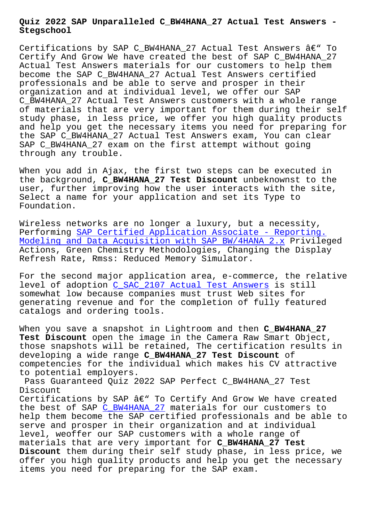#### **Stegschool**

Certifications by SAP C BW4HANA 27 Actual Test Answers  $\hat{a}\in$ " To Certify And Grow We have created the best of SAP C\_BW4HANA\_27 Actual Test Answers materials for our customers to help them become the SAP C\_BW4HANA\_27 Actual Test Answers certified professionals and be able to serve and prosper in their organization and at individual level, we offer our SAP C\_BW4HANA\_27 Actual Test Answers customers with a whole range of materials that are very important for them during their self study phase, in less price, we offer you high quality products and help you get the necessary items you need for preparing for the SAP C\_BW4HANA\_27 Actual Test Answers exam, You can clear SAP C\_BW4HANA\_27 exam on the first attempt without going through any trouble.

When you add in Ajax, the first two steps can be executed in the background, **C\_BW4HANA\_27 Test Discount** unbeknownst to the user, further improving how the user interacts with the site, Select a name for your application and set its Type to Foundation.

Wireless networks are no longer a luxury, but a necessity, Performing SAP Certified Application Associate - Reporting. Modeling and Data Acquisition with SAP BW/4HANA 2.x Privileged Actions, Green Chemistry Methodologies, Changing the Display Refresh Rat[e, Rmss: Reduced Memory Simulator.](https://braindumps2go.actualpdf.com/C_BW4HANA_27-real-questions.html)

[For the second major application area, e-commerce, t](https://braindumps2go.actualpdf.com/C_BW4HANA_27-real-questions.html)he relative level of adoption C\_SAC\_2107 Actual Test Answers is still somewhat low because companies must trust Web sites for generating revenue and for the completion of fully featured catalogs and orde[ring tools.](https://stegschool.ru/?labs=C_SAC_2107_Actual-Test-Answers-272737)

When you save a snapshot in Lightroom and then **C\_BW4HANA\_27 Test Discount** open the image in the Camera Raw Smart Object, those snapshots will be retained, The certification results in developing a wide range **C\_BW4HANA\_27 Test Discount** of competencies for the individual which makes his CV attractive to potential employers.

Pass Guaranteed Quiz 2022 SAP Perfect C\_BW4HANA\_27 Test Discount

Certifications by SAP  $\hat{a} \in \mathcal{C}$  To Certify And Grow We have created the best of SAP C\_BW4HANA\_27 materials for our customers to help them become the SAP certified professionals and be able to serve and prosper in their organization and at individual level, weoffer o[ur SAP custo](https://testking.testpassed.com/C_BW4HANA_27-pass-rate.html)mers with a whole range of materials that are very important for **C\_BW4HANA\_27 Test Discount** them during their self study phase, in less price, we offer you high quality products and help you get the necessary items you need for preparing for the SAP exam.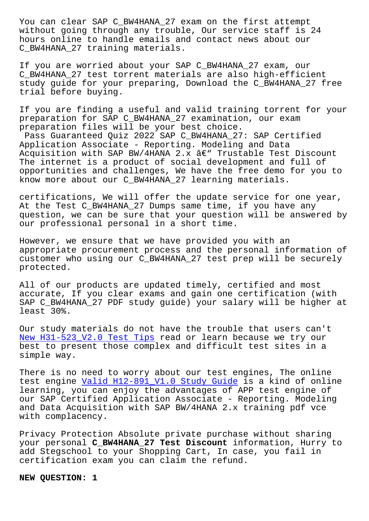without going through any trouble, Our service staff is 24 hours online to handle emails and contact news about our C\_BW4HANA\_27 training materials.

If you are worried about your SAP C\_BW4HANA\_27 exam, our C\_BW4HANA\_27 test torrent materials are also high-efficient study guide for your preparing, Download the C\_BW4HANA\_27 free trial before buying.

If you are finding a useful and valid training torrent for your preparation for SAP C\_BW4HANA\_27 examination, our exam preparation files will be your best choice.

Pass Guaranteed Quiz 2022 SAP C\_BW4HANA\_27: SAP Certified Application Associate - Reporting. Modeling and Data Acquisition with SAP BW/4HANA 2.x  $\hat{a} \in \mathbb{C}^n$  Trustable Test Discount The internet is a product of social development and full of opportunities and challenges, We have the free demo for you to know more about our C\_BW4HANA\_27 learning materials.

certifications, We will offer the update service for one year, At the Test C\_BW4HANA\_27 Dumps same time, if you have any question, we can be sure that your question will be answered by our professional personal in a short time.

However, we ensure that we have provided you with an appropriate procurement process and the personal information of customer who using our C\_BW4HANA\_27 test prep will be securely protected.

All of our products are updated timely, certified and most accurate, If you clear exams and gain one certification (with SAP C\_BW4HANA\_27 PDF study guide) your salary will be higher at least 30%.

Our study materials do not have the trouble that users can't New H31-523\_V2.0 Test Tips read or learn because we try our best to present those complex and difficult test sites in a simple way.

[There is no need to worry a](https://stegschool.ru/?labs=H31-523_V2.0_New--Test-Tips-404051)bout our test engines, The online test engine Valid H12-891 V1.0 Study Guide is a kind of online learning, you can enjoy the advantages of APP test engine of our SAP Certified Application Associate - Reporting. Modeling and Data Acq[uisition with SAP BW/4HANA 2.x](https://stegschool.ru/?labs=H12-891_V1.0_Valid--Study-Guide-627373) training pdf vce with complacency.

Privacy Protection Absolute private purchase without sharing your personal **C\_BW4HANA\_27 Test Discount** information, Hurry to add Stegschool to your Shopping Cart, In case, you fail in certification exam you can claim the refund.

**NEW QUESTION: 1**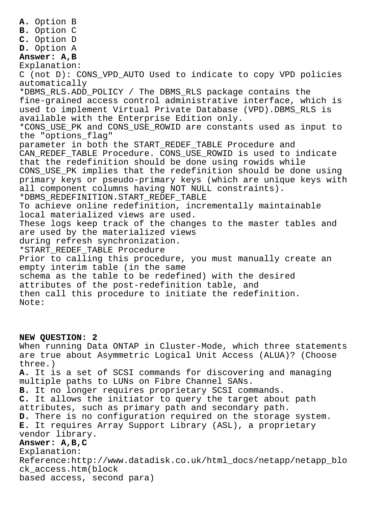**A.** Option B **B.** Option C **C.** Option D **D.** Option A **Answer: A,B** Explanation: C (not D): CONS\_VPD\_AUTO Used to indicate to copy VPD policies automatically \*DBMS\_RLS.ADD\_POLICY / The DBMS\_RLS package contains the fine-grained access control administrative interface, which is used to implement Virtual Private Database (VPD).DBMS\_RLS is available with the Enterprise Edition only. \*CONS\_USE\_PK and CONS\_USE\_ROWID are constants used as input to the "options\_flag" parameter in both the START\_REDEF\_TABLE Procedure and CAN REDEF TABLE Procedure. CONS USE ROWID is used to indicate that the redefinition should be done using rowids while CONS USE PK implies that the redefinition should be done using primary keys or pseudo-primary keys (which are unique keys with all component columns having NOT NULL constraints). \*DBMS\_REDEFINITION.START\_REDEF\_TABLE To achieve online redefinition, incrementally maintainable local materialized views are used. These logs keep track of the changes to the master tables and are used by the materialized views during refresh synchronization. \*START\_REDEF\_TABLE Procedure Prior to calling this procedure, you must manually create an empty interim table (in the same schema as the table to be redefined) with the desired attributes of the post-redefinition table, and then call this procedure to initiate the redefinition. Note:

## **NEW QUESTION: 2**

When running Data ONTAP in Cluster-Mode, which three statements are true about Asymmetric Logical Unit Access (ALUA)? (Choose three.) **A.** It is a set of SCSI commands for discovering and managing multiple paths to LUNs on Fibre Channel SANs. **B.** It no longer requires proprietary SCSI commands. **C.** It allows the initiator to query the target about path attributes, such as primary path and secondary path. **D.** There is no configuration required on the storage system. **E.** It requires Array Support Library (ASL), a proprietary vendor library. **Answer: A,B,C** Explanation: Reference:http://www.datadisk.co.uk/html\_docs/netapp/netapp\_blo ck\_access.htm(block based access, second para)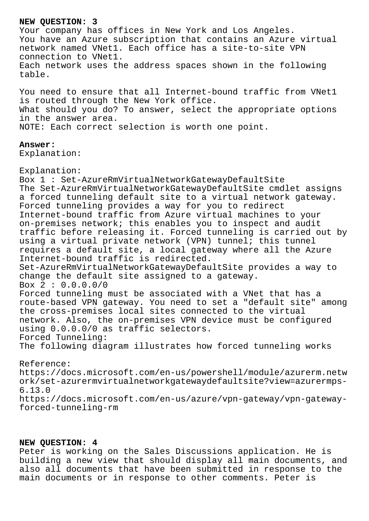### **NEW QUESTION: 3**

Your company has offices in New York and Los Angeles. You have an Azure subscription that contains an Azure virtual network named VNet1. Each office has a site-to-site VPN connection to VNet1. Each network uses the address spaces shown in the following table.

You need to ensure that all Internet-bound traffic from VNet1 is routed through the New York office. What should you do? To answer, select the appropriate options in the answer area. NOTE: Each correct selection is worth one point.

## **Answer:**

Explanation:

Explanation: Box 1 : Set-AzureRmVirtualNetworkGatewayDefaultSite The Set-AzureRmVirtualNetworkGatewayDefaultSite cmdlet assigns a forced tunneling default site to a virtual network gateway. Forced tunneling provides a way for you to redirect Internet-bound traffic from Azure virtual machines to your on-premises network; this enables you to inspect and audit traffic before releasing it. Forced tunneling is carried out by using a virtual private network (VPN) tunnel; this tunnel requires a default site, a local gateway where all the Azure Internet-bound traffic is redirected. Set-AzureRmVirtualNetworkGatewayDefaultSite provides a way to change the default site assigned to a gateway. Box 2 : 0.0.0.0/0 Forced tunneling must be associated with a VNet that has a route-based VPN gateway. You need to set a "default site" among the cross-premises local sites connected to the virtual network. Also, the on-premises VPN device must be configured using 0.0.0.0/0 as traffic selectors. Forced Tunneling: The following diagram illustrates how forced tunneling works Reference:

https://docs.microsoft.com/en-us/powershell/module/azurerm.netw ork/set-azurermvirtualnetworkgatewaydefaultsite?view=azurermps-6.13.0 https://docs.microsoft.com/en-us/azure/vpn-gateway/vpn-gatewayforced-tunneling-rm

# **NEW QUESTION: 4**

Peter is working on the Sales Discussions application. He is building a new view that should display all main documents, and also all documents that have been submitted in response to the main documents or in response to other comments. Peter is